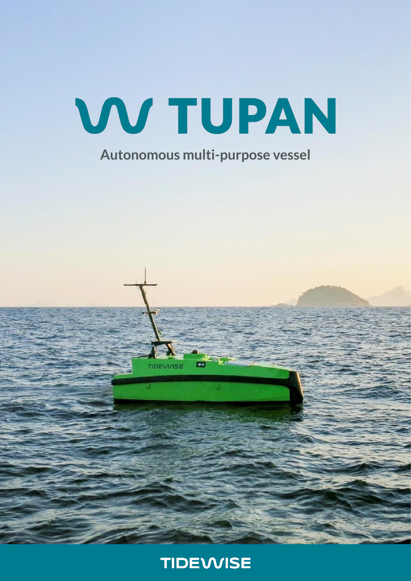

## **Autonomous multi-purpose vessel**



**IDEWISE**